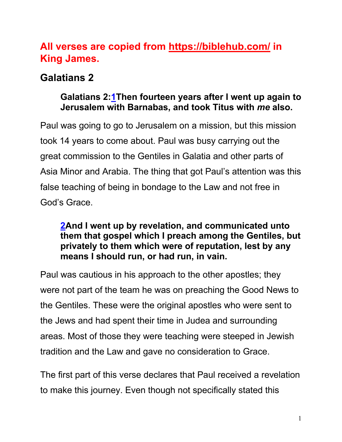# **All verses are copied from https://biblehub.com/ in King James.**

# **Galatians 2**

# **Galatians 2:1Then fourteen years after I went up again to Jerusalem with Barnabas, and took Titus with** *me* **also.**

Paul was going to go to Jerusalem on a mission, but this mission took 14 years to come about. Paul was busy carrying out the great commission to the Gentiles in Galatia and other parts of Asia Minor and Arabia. The thing that got Paul's attention was this false teaching of being in bondage to the Law and not free in God's Grace.

#### **2And I went up by revelation, and communicated unto them that gospel which I preach among the Gentiles, but privately to them which were of reputation, lest by any means I should run, or had run, in vain.**

Paul was cautious in his approach to the other apostles; they were not part of the team he was on preaching the Good News to the Gentiles. These were the original apostles who were sent to the Jews and had spent their time in Judea and surrounding areas. Most of those they were teaching were steeped in Jewish tradition and the Law and gave no consideration to Grace.

The first part of this verse declares that Paul received a revelation to make this journey. Even though not specifically stated this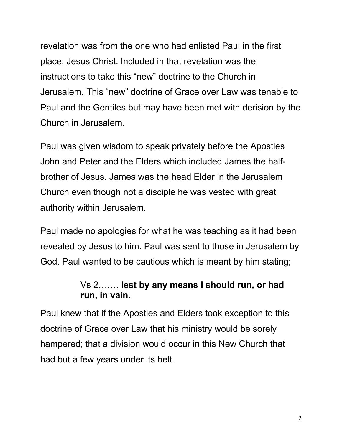revelation was from the one who had enlisted Paul in the first place; Jesus Christ. Included in that revelation was the instructions to take this "new" doctrine to the Church in Jerusalem. This "new" doctrine of Grace over Law was tenable to Paul and the Gentiles but may have been met with derision by the Church in Jerusalem.

Paul was given wisdom to speak privately before the Apostles John and Peter and the Elders which included James the halfbrother of Jesus. James was the head Elder in the Jerusalem Church even though not a disciple he was vested with great authority within Jerusalem.

Paul made no apologies for what he was teaching as it had been revealed by Jesus to him. Paul was sent to those in Jerusalem by God. Paul wanted to be cautious which is meant by him stating;

### Vs 2……. **lest by any means I should run, or had run, in vain.**

Paul knew that if the Apostles and Elders took exception to this doctrine of Grace over Law that his ministry would be sorely hampered; that a division would occur in this New Church that had but a few years under its belt.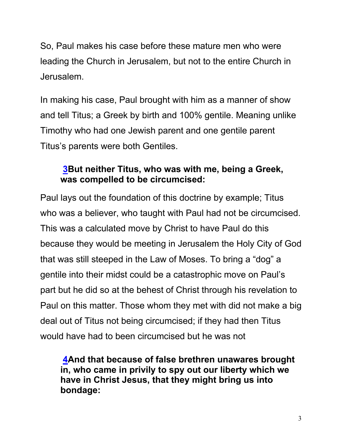So, Paul makes his case before these mature men who were leading the Church in Jerusalem, but not to the entire Church in Jerusalem.

In making his case, Paul brought with him as a manner of show and tell Titus; a Greek by birth and 100% gentile. Meaning unlike Timothy who had one Jewish parent and one gentile parent Titus's parents were both Gentiles.

#### **3But neither Titus, who was with me, being a Greek, was compelled to be circumcised:**

Paul lays out the foundation of this doctrine by example; Titus who was a believer, who taught with Paul had not be circumcised. This was a calculated move by Christ to have Paul do this because they would be meeting in Jerusalem the Holy City of God that was still steeped in the Law of Moses. To bring a "dog" a gentile into their midst could be a catastrophic move on Paul's part but he did so at the behest of Christ through his revelation to Paul on this matter. Those whom they met with did not make a big deal out of Titus not being circumcised; if they had then Titus would have had to been circumcised but he was not

**4And that because of false brethren unawares brought in, who came in privily to spy out our liberty which we have in Christ Jesus, that they might bring us into bondage:**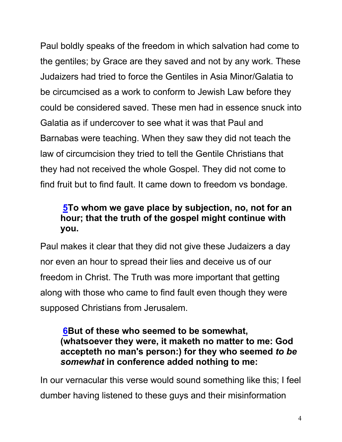Paul boldly speaks of the freedom in which salvation had come to the gentiles; by Grace are they saved and not by any work. These Judaizers had tried to force the Gentiles in Asia Minor/Galatia to be circumcised as a work to conform to Jewish Law before they could be considered saved. These men had in essence snuck into Galatia as if undercover to see what it was that Paul and Barnabas were teaching. When they saw they did not teach the law of circumcision they tried to tell the Gentile Christians that they had not received the whole Gospel. They did not come to find fruit but to find fault. It came down to freedom vs bondage.

# **5To whom we gave place by subjection, no, not for an hour; that the truth of the gospel might continue with you.**

Paul makes it clear that they did not give these Judaizers a day nor even an hour to spread their lies and deceive us of our freedom in Christ. The Truth was more important that getting along with those who came to find fault even though they were supposed Christians from Jerusalem.

#### **6But of these who seemed to be somewhat, (whatsoever they were, it maketh no matter to me: God accepteth no man's person:) for they who seemed** *to be somewhat* **in conference added nothing to me:**

In our vernacular this verse would sound something like this; I feel dumber having listened to these guys and their misinformation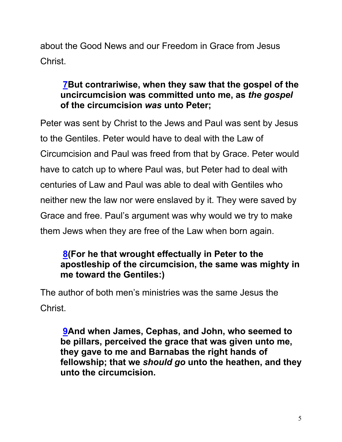about the Good News and our Freedom in Grace from Jesus Christ.

### **7But contrariwise, when they saw that the gospel of the uncircumcision was committed unto me, as** *the gospel* **of the circumcision** *was* **unto Peter;**

Peter was sent by Christ to the Jews and Paul was sent by Jesus to the Gentiles. Peter would have to deal with the Law of Circumcision and Paul was freed from that by Grace. Peter would have to catch up to where Paul was, but Peter had to deal with centuries of Law and Paul was able to deal with Gentiles who neither new the law nor were enslaved by it. They were saved by Grace and free. Paul's argument was why would we try to make them Jews when they are free of the Law when born again.

### **8(For he that wrought effectually in Peter to the apostleship of the circumcision, the same was mighty in me toward the Gentiles:)**

The author of both men's ministries was the same Jesus the Christ.

**9And when James, Cephas, and John, who seemed to be pillars, perceived the grace that was given unto me, they gave to me and Barnabas the right hands of fellowship; that we** *should go* **unto the heathen, and they unto the circumcision.**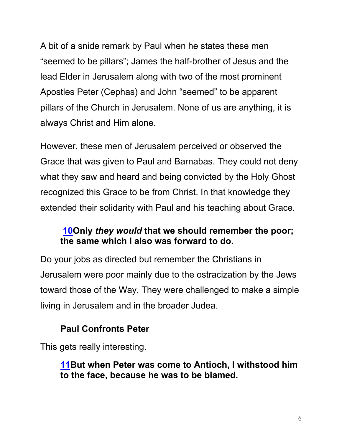A bit of a snide remark by Paul when he states these men "seemed to be pillars"; James the half-brother of Jesus and the lead Elder in Jerusalem along with two of the most prominent Apostles Peter (Cephas) and John "seemed" to be apparent pillars of the Church in Jerusalem. None of us are anything, it is always Christ and Him alone.

However, these men of Jerusalem perceived or observed the Grace that was given to Paul and Barnabas. They could not deny what they saw and heard and being convicted by the Holy Ghost recognized this Grace to be from Christ. In that knowledge they extended their solidarity with Paul and his teaching about Grace.

### **10Only** *they would* **that we should remember the poor; the same which I also was forward to do.**

Do your jobs as directed but remember the Christians in Jerusalem were poor mainly due to the ostracization by the Jews toward those of the Way. They were challenged to make a simple living in Jerusalem and in the broader Judea.

# **Paul Confronts Peter**

This gets really interesting.

**11But when Peter was come to Antioch, I withstood him to the face, because he was to be blamed.**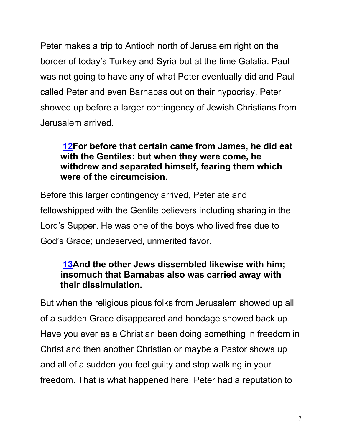Peter makes a trip to Antioch north of Jerusalem right on the border of today's Turkey and Syria but at the time Galatia. Paul was not going to have any of what Peter eventually did and Paul called Peter and even Barnabas out on their hypocrisy. Peter showed up before a larger contingency of Jewish Christians from Jerusalem arrived.

### **12For before that certain came from James, he did eat with the Gentiles: but when they were come, he withdrew and separated himself, fearing them which were of the circumcision.**

Before this larger contingency arrived, Peter ate and fellowshipped with the Gentile believers including sharing in the Lord's Supper. He was one of the boys who lived free due to God's Grace; undeserved, unmerited favor.

#### **13And the other Jews dissembled likewise with him; insomuch that Barnabas also was carried away with their dissimulation.**

But when the religious pious folks from Jerusalem showed up all of a sudden Grace disappeared and bondage showed back up. Have you ever as a Christian been doing something in freedom in Christ and then another Christian or maybe a Pastor shows up and all of a sudden you feel guilty and stop walking in your freedom. That is what happened here, Peter had a reputation to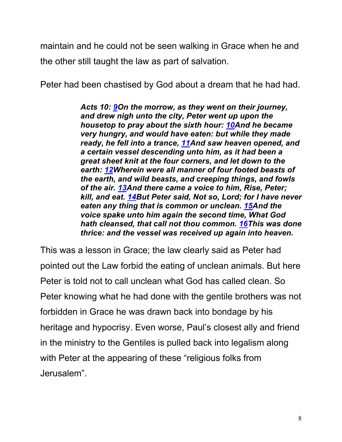maintain and he could not be seen walking in Grace when he and the other still taught the law as part of salvation.

Peter had been chastised by God about a dream that he had had.

*Acts 10: 9On the morrow, as they went on their journey, and drew nigh unto the city, Peter went up upon the housetop to pray about the sixth hour: 10And he became very hungry, and would have eaten: but while they made ready, he fell into a trance, 11And saw heaven opened, and a certain vessel descending unto him, as it had been a great sheet knit at the four corners, and let down to the earth: 12Wherein were all manner of four footed beasts of the earth, and wild beasts, and creeping things, and fowls of the air. 13And there came a voice to him, Rise, Peter; kill, and eat. 14But Peter said, Not so, Lord; for I have never eaten any thing that is common or unclean. 15And the voice spake unto him again the second time, What God hath cleansed, that call not thou common. 16This was done thrice: and the vessel was received up again into heaven.*

This was a lesson in Grace; the law clearly said as Peter had pointed out the Law forbid the eating of unclean animals. But here Peter is told not to call unclean what God has called clean. So Peter knowing what he had done with the gentile brothers was not forbidden in Grace he was drawn back into bondage by his heritage and hypocrisy. Even worse, Paul's closest ally and friend in the ministry to the Gentiles is pulled back into legalism along with Peter at the appearing of these "religious folks from Jerusalem".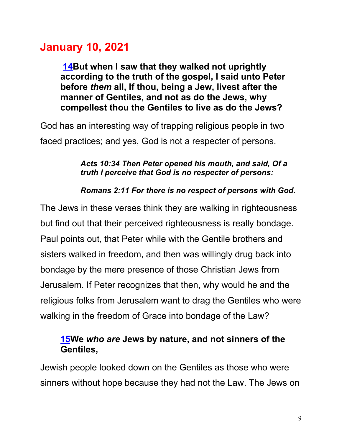# **January 10, 2021**

**14But when I saw that they walked not uprightly according to the truth of the gospel, I said unto Peter before** *them* **all, If thou, being a Jew, livest after the manner of Gentiles, and not as do the Jews, why compellest thou the Gentiles to live as do the Jews?**

God has an interesting way of trapping religious people in two faced practices; and yes, God is not a respecter of persons.

#### *Acts 10:34 Then Peter opened his mouth, and said, Of a truth I perceive that God is no respecter of persons:*

#### *Romans 2:11 For there is no respect of persons with God.*

The Jews in these verses think they are walking in righteousness but find out that their perceived righteousness is really bondage. Paul points out, that Peter while with the Gentile brothers and sisters walked in freedom, and then was willingly drug back into bondage by the mere presence of those Christian Jews from Jerusalem. If Peter recognizes that then, why would he and the religious folks from Jerusalem want to drag the Gentiles who were walking in the freedom of Grace into bondage of the Law?

#### **15We** *who are* **Jews by nature, and not sinners of the Gentiles,**

Jewish people looked down on the Gentiles as those who were sinners without hope because they had not the Law. The Jews on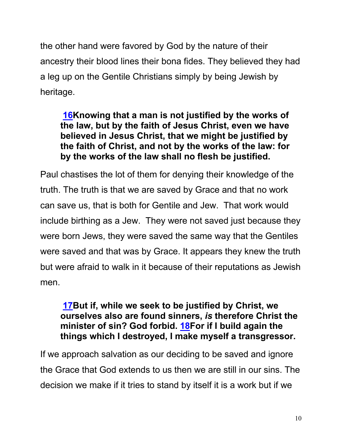the other hand were favored by God by the nature of their ancestry their blood lines their bona fides. They believed they had a leg up on the Gentile Christians simply by being Jewish by heritage.

### **16Knowing that a man is not justified by the works of the law, but by the faith of Jesus Christ, even we have believed in Jesus Christ, that we might be justified by the faith of Christ, and not by the works of the law: for by the works of the law shall no flesh be justified.**

Paul chastises the lot of them for denying their knowledge of the truth. The truth is that we are saved by Grace and that no work can save us, that is both for Gentile and Jew. That work would include birthing as a Jew. They were not saved just because they were born Jews, they were saved the same way that the Gentiles were saved and that was by Grace. It appears they knew the truth but were afraid to walk in it because of their reputations as Jewish men.

#### **17But if, while we seek to be justified by Christ, we ourselves also are found sinners,** *is* **therefore Christ the minister of sin? God forbid. 18For if I build again the things which I destroyed, I make myself a transgressor.**

If we approach salvation as our deciding to be saved and ignore the Grace that God extends to us then we are still in our sins. The decision we make if it tries to stand by itself it is a work but if we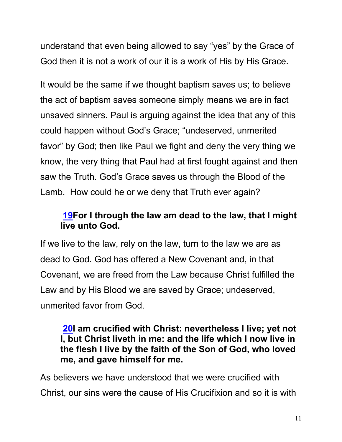understand that even being allowed to say "yes" by the Grace of God then it is not a work of our it is a work of His by His Grace.

It would be the same if we thought baptism saves us; to believe the act of baptism saves someone simply means we are in fact unsaved sinners. Paul is arguing against the idea that any of this could happen without God's Grace; "undeserved, unmerited favor" by God; then like Paul we fight and deny the very thing we know, the very thing that Paul had at first fought against and then saw the Truth. God's Grace saves us through the Blood of the Lamb. How could he or we deny that Truth ever again?

# **19For I through the law am dead to the law, that I might live unto God.**

If we live to the law, rely on the law, turn to the law we are as dead to God. God has offered a New Covenant and, in that Covenant, we are freed from the Law because Christ fulfilled the Law and by His Blood we are saved by Grace; undeserved, unmerited favor from God.

#### **20I am crucified with Christ: nevertheless I live; yet not I, but Christ liveth in me: and the life which I now live in the flesh I live by the faith of the Son of God, who loved me, and gave himself for me.**

As believers we have understood that we were crucified with Christ, our sins were the cause of His Crucifixion and so it is with